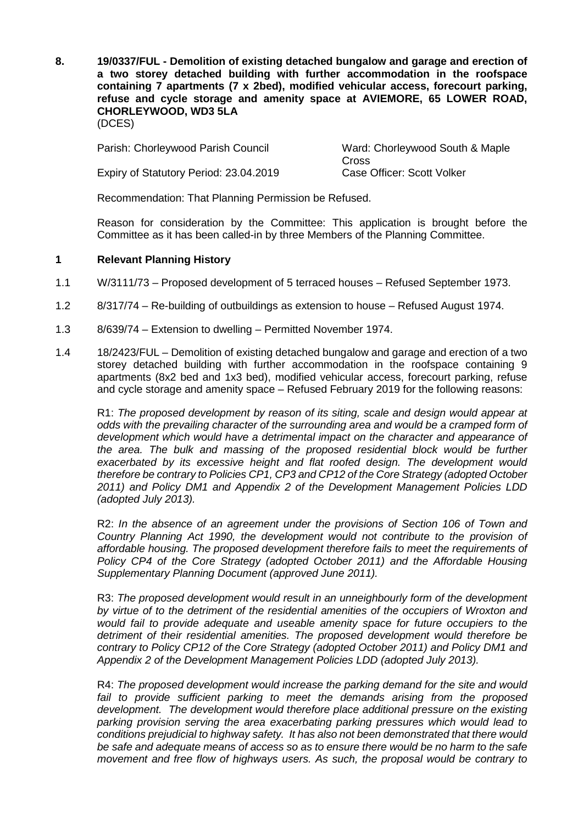**8. 19/0337/FUL - Demolition of existing detached bungalow and garage and erection of a two storey detached building with further accommodation in the roofspace containing 7 apartments (7 x 2bed), modified vehicular access, forecourt parking, refuse and cycle storage and amenity space at AVIEMORE, 65 LOWER ROAD, CHORLEYWOOD, WD3 5LA** (DCES)

Parish: Chorleywood Parish Council Ward: Chorleywood South & Maple

Expiry of Statutory Period: 23.04.2019 Case Officer: Scott Volker

**Cross** 

Recommendation: That Planning Permission be Refused.

Reason for consideration by the Committee: This application is brought before the Committee as it has been called-in by three Members of the Planning Committee.

# **1 Relevant Planning History**

- 1.1 W/3111/73 Proposed development of 5 terraced houses Refused September 1973.
- 1.2 8/317/74 Re-building of outbuildings as extension to house Refused August 1974.
- 1.3 8/639/74 Extension to dwelling Permitted November 1974.
- 1.4 18/2423/FUL Demolition of existing detached bungalow and garage and erection of a two storey detached building with further accommodation in the roofspace containing 9 apartments (8x2 bed and 1x3 bed), modified vehicular access, forecourt parking, refuse and cycle storage and amenity space – Refused February 2019 for the following reasons:

R1: *The proposed development by reason of its siting, scale and design would appear at odds with the prevailing character of the surrounding area and would be a cramped form of development which would have a detrimental impact on the character and appearance of the area. The bulk and massing of the proposed residential block would be further exacerbated by its excessive height and flat roofed design. The development would therefore be contrary to Policies CP1, CP3 and CP12 of the Core Strategy (adopted October 2011) and Policy DM1 and Appendix 2 of the Development Management Policies LDD (adopted July 2013).*

R2: *In the absence of an agreement under the provisions of Section 106 of Town and Country Planning Act 1990, the development would not contribute to the provision of affordable housing. The proposed development therefore fails to meet the requirements of Policy CP4 of the Core Strategy (adopted October 2011) and the Affordable Housing Supplementary Planning Document (approved June 2011).*

R3: *The proposed development would result in an unneighbourly form of the development by virtue of to the detriment of the residential amenities of the occupiers of Wroxton and would fail to provide adequate and useable amenity space for future occupiers to the detriment of their residential amenities. The proposed development would therefore be contrary to Policy CP12 of the Core Strategy (adopted October 2011) and Policy DM1 and Appendix 2 of the Development Management Policies LDD (adopted July 2013).*

R4: *The proposed development would increase the parking demand for the site and would fail to provide sufficient parking to meet the demands arising from the proposed development. The development would therefore place additional pressure on the existing parking provision serving the area exacerbating parking pressures which would lead to conditions prejudicial to highway safety. It has also not been demonstrated that there would be safe and adequate means of access so as to ensure there would be no harm to the safe movement and free flow of highways users. As such, the proposal would be contrary to*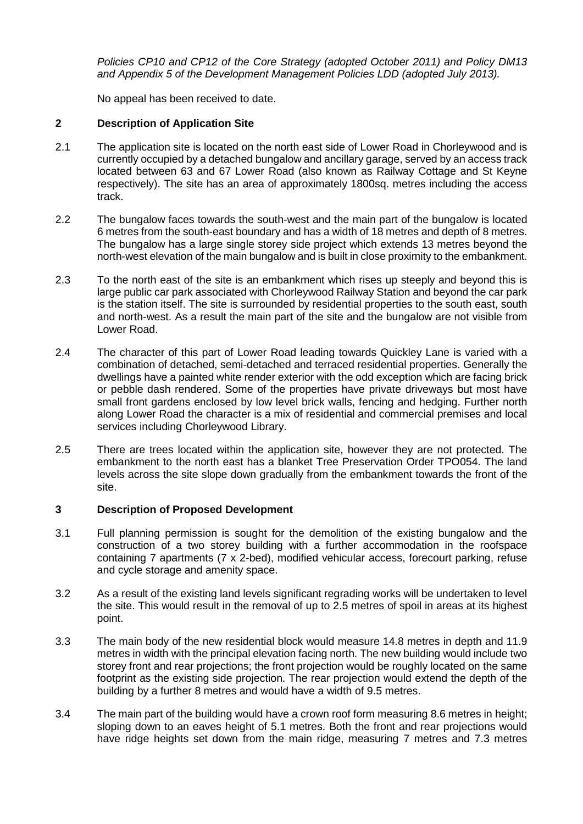*Policies CP10 and CP12 of the Core Strategy (adopted October 2011) and Policy DM13 and Appendix 5 of the Development Management Policies LDD (adopted July 2013).*

No appeal has been received to date.

# **2 Description of Application Site**

- 2.1 The application site is located on the north east side of Lower Road in Chorleywood and is currently occupied by a detached bungalow and ancillary garage, served by an access track located between 63 and 67 Lower Road (also known as Railway Cottage and St Keyne respectively). The site has an area of approximately 1800sq. metres including the access track.
- 2.2 The bungalow faces towards the south-west and the main part of the bungalow is located 6 metres from the south-east boundary and has a width of 18 metres and depth of 8 metres. The bungalow has a large single storey side project which extends 13 metres beyond the north-west elevation of the main bungalow and is built in close proximity to the embankment.
- 2.3 To the north east of the site is an embankment which rises up steeply and beyond this is large public car park associated with Chorleywood Railway Station and beyond the car park is the station itself. The site is surrounded by residential properties to the south east, south and north-west. As a result the main part of the site and the bungalow are not visible from Lower Road.
- 2.4 The character of this part of Lower Road leading towards Quickley Lane is varied with a combination of detached, semi-detached and terraced residential properties. Generally the dwellings have a painted white render exterior with the odd exception which are facing brick or pebble dash rendered. Some of the properties have private driveways but most have small front gardens enclosed by low level brick walls, fencing and hedging. Further north along Lower Road the character is a mix of residential and commercial premises and local services including Chorleywood Library.
- 2.5 There are trees located within the application site, however they are not protected. The embankment to the north east has a blanket Tree Preservation Order TPO054. The land levels across the site slope down gradually from the embankment towards the front of the site.

# **3 Description of Proposed Development**

- 3.1 Full planning permission is sought for the demolition of the existing bungalow and the construction of a two storey building with a further accommodation in the roofspace containing 7 apartments (7 x 2-bed), modified vehicular access, forecourt parking, refuse and cycle storage and amenity space.
- 3.2 As a result of the existing land levels significant regrading works will be undertaken to level the site. This would result in the removal of up to 2.5 metres of spoil in areas at its highest point.
- 3.3 The main body of the new residential block would measure 14.8 metres in depth and 11.9 metres in width with the principal elevation facing north. The new building would include two storey front and rear projections; the front projection would be roughly located on the same footprint as the existing side projection. The rear projection would extend the depth of the building by a further 8 metres and would have a width of 9.5 metres.
- 3.4 The main part of the building would have a crown roof form measuring 8.6 metres in height; sloping down to an eaves height of 5.1 metres. Both the front and rear projections would have ridge heights set down from the main ridge, measuring 7 metres and 7.3 metres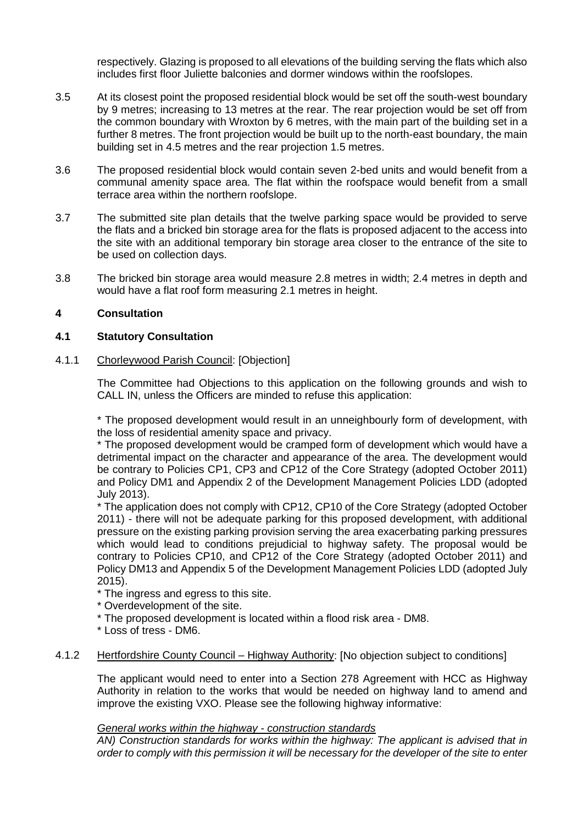respectively. Glazing is proposed to all elevations of the building serving the flats which also includes first floor Juliette balconies and dormer windows within the roofslopes.

- 3.5 At its closest point the proposed residential block would be set off the south-west boundary by 9 metres; increasing to 13 metres at the rear. The rear projection would be set off from the common boundary with Wroxton by 6 metres, with the main part of the building set in a further 8 metres. The front projection would be built up to the north-east boundary, the main building set in 4.5 metres and the rear projection 1.5 metres.
- 3.6 The proposed residential block would contain seven 2-bed units and would benefit from a communal amenity space area. The flat within the roofspace would benefit from a small terrace area within the northern roofslope.
- 3.7 The submitted site plan details that the twelve parking space would be provided to serve the flats and a bricked bin storage area for the flats is proposed adjacent to the access into the site with an additional temporary bin storage area closer to the entrance of the site to be used on collection days.
- 3.8 The bricked bin storage area would measure 2.8 metres in width; 2.4 metres in depth and would have a flat roof form measuring 2.1 metres in height.

## **4 Consultation**

## **4.1 Statutory Consultation**

## 4.1.1 Chorleywood Parish Council: [Objection]

The Committee had Objections to this application on the following grounds and wish to CALL IN, unless the Officers are minded to refuse this application:

\* The proposed development would result in an unneighbourly form of development, with the loss of residential amenity space and privacy.

\* The proposed development would be cramped form of development which would have a detrimental impact on the character and appearance of the area. The development would be contrary to Policies CP1, CP3 and CP12 of the Core Strategy (adopted October 2011) and Policy DM1 and Appendix 2 of the Development Management Policies LDD (adopted July 2013).

\* The application does not comply with CP12, CP10 of the Core Strategy (adopted October 2011) - there will not be adequate parking for this proposed development, with additional pressure on the existing parking provision serving the area exacerbating parking pressures which would lead to conditions prejudicial to highway safety. The proposal would be contrary to Policies CP10, and CP12 of the Core Strategy (adopted October 2011) and Policy DM13 and Appendix 5 of the Development Management Policies LDD (adopted July 2015).

\* The ingress and egress to this site.

- \* Overdevelopment of the site.
- \* The proposed development is located within a flood risk area DM8.
- \* Loss of tress DM6.

### 4.1.2 Hertfordshire County Council – Highway Authority: [No objection subject to conditions]

The applicant would need to enter into a Section 278 Agreement with HCC as Highway Authority in relation to the works that would be needed on highway land to amend and improve the existing VXO. Please see the following highway informative:

### *General works within the highway - construction standards*

*AN) Construction standards for works within the highway: The applicant is advised that in order to comply with this permission it will be necessary for the developer of the site to enter*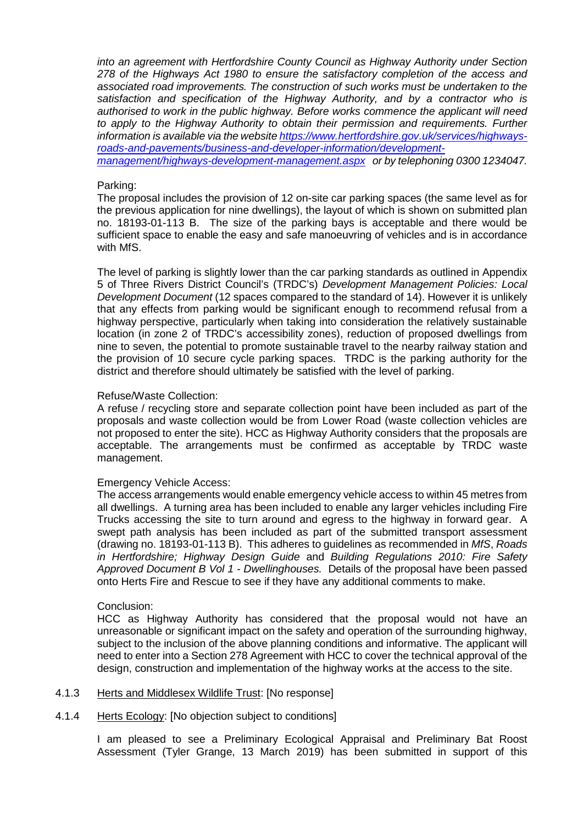*into an agreement with Hertfordshire County Council as Highway Authority under Section 278 of the Highways Act 1980 to ensure the satisfactory completion of the access and associated road improvements. The construction of such works must be undertaken to the satisfaction and specification of the Highway Authority, and by a contractor who is authorised to work in the public highway. Before works commence the applicant will need to apply to the Highway Authority to obtain their permission and requirements. Further information is available via the websit[e https://www.hertfordshire.gov.uk/services/highways](https://www.hertfordshire.gov.uk/services/highways-roads-and-pavements/business-and-developer-information/development-management/highways-development-management.aspx)[roads-and-pavements/business-and-developer-information/development](https://www.hertfordshire.gov.uk/services/highways-roads-and-pavements/business-and-developer-information/development-management/highways-development-management.aspx)[management/highways-development-management.aspx](https://www.hertfordshire.gov.uk/services/highways-roads-and-pavements/business-and-developer-information/development-management/highways-development-management.aspx) or by telephoning 0300 1234047.* 

#### Parking:

The proposal includes the provision of 12 on-site car parking spaces (the same level as for the previous application for nine dwellings), the layout of which is shown on submitted plan no. 18193-01-113 B. The size of the parking bays is acceptable and there would be sufficient space to enable the easy and safe manoeuvring of vehicles and is in accordance with MfS.

The level of parking is slightly lower than the car parking standards as outlined in Appendix 5 of Three Rivers District Council's (TRDC's) *Development Management Policies: Local Development Document* (12 spaces compared to the standard of 14). However it is unlikely that any effects from parking would be significant enough to recommend refusal from a highway perspective, particularly when taking into consideration the relatively sustainable location (in zone 2 of TRDC's accessibility zones), reduction of proposed dwellings from nine to seven, the potential to promote sustainable travel to the nearby railway station and the provision of 10 secure cycle parking spaces. TRDC is the parking authority for the district and therefore should ultimately be satisfied with the level of parking.

#### Refuse/Waste Collection:

A refuse / recycling store and separate collection point have been included as part of the proposals and waste collection would be from Lower Road (waste collection vehicles are not proposed to enter the site). HCC as Highway Authority considers that the proposals are acceptable. The arrangements must be confirmed as acceptable by TRDC waste management.

### Emergency Vehicle Access:

The access arrangements would enable emergency vehicle access to within 45 metres from all dwellings. A turning area has been included to enable any larger vehicles including Fire Trucks accessing the site to turn around and egress to the highway in forward gear. A swept path analysis has been included as part of the submitted transport assessment (drawing no. 18193-01-113 B). This adheres to guidelines as recommended in *MfS*, *Roads in Hertfordshire; Highway Design Guide* and *Building Regulations 2010: Fire Safety Approved Document B Vol 1 - Dwellinghouses.* Details of the proposal have been passed onto Herts Fire and Rescue to see if they have any additional comments to make.

#### Conclusion:

HCC as Highway Authority has considered that the proposal would not have an unreasonable or significant impact on the safety and operation of the surrounding highway, subject to the inclusion of the above planning conditions and informative. The applicant will need to enter into a Section 278 Agreement with HCC to cover the technical approval of the design, construction and implementation of the highway works at the access to the site.

# 4.1.3 Herts and Middlesex Wildlife Trust: [No response]

4.1.4 Herts Ecology: [No objection subject to conditions]

I am pleased to see a Preliminary Ecological Appraisal and Preliminary Bat Roost Assessment (Tyler Grange, 13 March 2019) has been submitted in support of this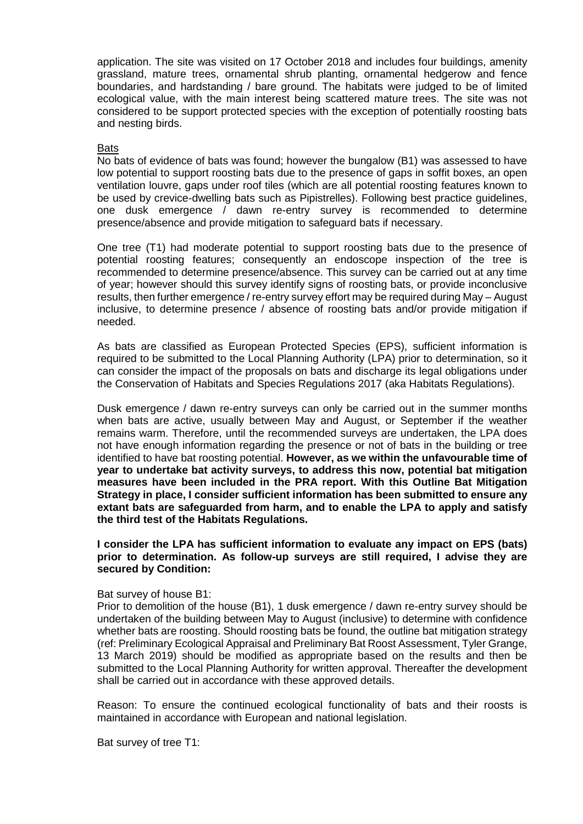application. The site was visited on 17 October 2018 and includes four buildings, amenity grassland, mature trees, ornamental shrub planting, ornamental hedgerow and fence boundaries, and hardstanding / bare ground. The habitats were judged to be of limited ecological value, with the main interest being scattered mature trees. The site was not considered to be support protected species with the exception of potentially roosting bats and nesting birds.

# **Bats**

No bats of evidence of bats was found; however the bungalow (B1) was assessed to have low potential to support roosting bats due to the presence of gaps in soffit boxes, an open ventilation louvre, gaps under roof tiles (which are all potential roosting features known to be used by crevice-dwelling bats such as Pipistrelles). Following best practice guidelines, one dusk emergence / dawn re-entry survey is recommended to determine presence/absence and provide mitigation to safeguard bats if necessary.

One tree (T1) had moderate potential to support roosting bats due to the presence of potential roosting features; consequently an endoscope inspection of the tree is recommended to determine presence/absence. This survey can be carried out at any time of year; however should this survey identify signs of roosting bats, or provide inconclusive results, then further emergence / re-entry survey effort may be required during May – August inclusive, to determine presence / absence of roosting bats and/or provide mitigation if needed.

As bats are classified as European Protected Species (EPS), sufficient information is required to be submitted to the Local Planning Authority (LPA) prior to determination, so it can consider the impact of the proposals on bats and discharge its legal obligations under the Conservation of Habitats and Species Regulations 2017 (aka Habitats Regulations).

Dusk emergence / dawn re-entry surveys can only be carried out in the summer months when bats are active, usually between May and August, or September if the weather remains warm. Therefore, until the recommended surveys are undertaken, the LPA does not have enough information regarding the presence or not of bats in the building or tree identified to have bat roosting potential. **However, as we within the unfavourable time of year to undertake bat activity surveys, to address this now, potential bat mitigation measures have been included in the PRA report. With this Outline Bat Mitigation Strategy in place, I consider sufficient information has been submitted to ensure any extant bats are safeguarded from harm, and to enable the LPA to apply and satisfy the third test of the Habitats Regulations.**

**I consider the LPA has sufficient information to evaluate any impact on EPS (bats) prior to determination. As follow-up surveys are still required, I advise they are secured by Condition:**

### Bat survey of house B1:

Prior to demolition of the house (B1), 1 dusk emergence / dawn re-entry survey should be undertaken of the building between May to August (inclusive) to determine with confidence whether bats are roosting. Should roosting bats be found, the outline bat mitigation strategy (ref: Preliminary Ecological Appraisal and Preliminary Bat Roost Assessment, Tyler Grange, 13 March 2019) should be modified as appropriate based on the results and then be submitted to the Local Planning Authority for written approval. Thereafter the development shall be carried out in accordance with these approved details.

Reason: To ensure the continued ecological functionality of bats and their roosts is maintained in accordance with European and national legislation.

Bat survey of tree T1: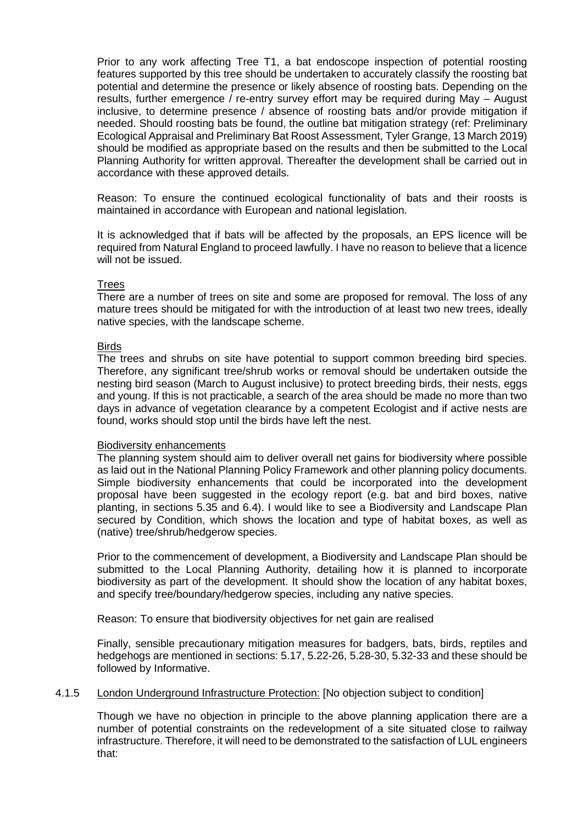Prior to any work affecting Tree T1, a bat endoscope inspection of potential roosting features supported by this tree should be undertaken to accurately classify the roosting bat potential and determine the presence or likely absence of roosting bats. Depending on the results, further emergence / re-entry survey effort may be required during May – August inclusive, to determine presence / absence of roosting bats and/or provide mitigation if needed. Should roosting bats be found, the outline bat mitigation strategy (ref: Preliminary Ecological Appraisal and Preliminary Bat Roost Assessment, Tyler Grange, 13 March 2019) should be modified as appropriate based on the results and then be submitted to the Local Planning Authority for written approval. Thereafter the development shall be carried out in accordance with these approved details.

Reason: To ensure the continued ecological functionality of bats and their roosts is maintained in accordance with European and national legislation.

It is acknowledged that if bats will be affected by the proposals, an EPS licence will be required from Natural England to proceed lawfully. I have no reason to believe that a licence will not be issued.

## **Trees**

There are a number of trees on site and some are proposed for removal. The loss of any mature trees should be mitigated for with the introduction of at least two new trees, ideally native species, with the landscape scheme.

### **Birds**

The trees and shrubs on site have potential to support common breeding bird species. Therefore, any significant tree/shrub works or removal should be undertaken outside the nesting bird season (March to August inclusive) to protect breeding birds, their nests, eggs and young. If this is not practicable, a search of the area should be made no more than two days in advance of vegetation clearance by a competent Ecologist and if active nests are found, works should stop until the birds have left the nest.

### Biodiversity enhancements

The planning system should aim to deliver overall net gains for biodiversity where possible as laid out in the National Planning Policy Framework and other planning policy documents. Simple biodiversity enhancements that could be incorporated into the development proposal have been suggested in the ecology report (e.g. bat and bird boxes, native planting, in sections 5.35 and 6.4). I would like to see a Biodiversity and Landscape Plan secured by Condition, which shows the location and type of habitat boxes, as well as (native) tree/shrub/hedgerow species.

Prior to the commencement of development, a Biodiversity and Landscape Plan should be submitted to the Local Planning Authority, detailing how it is planned to incorporate biodiversity as part of the development. It should show the location of any habitat boxes, and specify tree/boundary/hedgerow species, including any native species.

Reason: To ensure that biodiversity objectives for net gain are realised

Finally, sensible precautionary mitigation measures for badgers, bats, birds, reptiles and hedgehogs are mentioned in sections: 5.17, 5.22-26, 5.28-30, 5.32-33 and these should be followed by Informative.

## 4.1.5 London Underground Infrastructure Protection: [No objection subject to condition]

Though we have no objection in principle to the above planning application there are a number of potential constraints on the redevelopment of a site situated close to railway infrastructure. Therefore, it will need to be demonstrated to the satisfaction of LUL engineers that: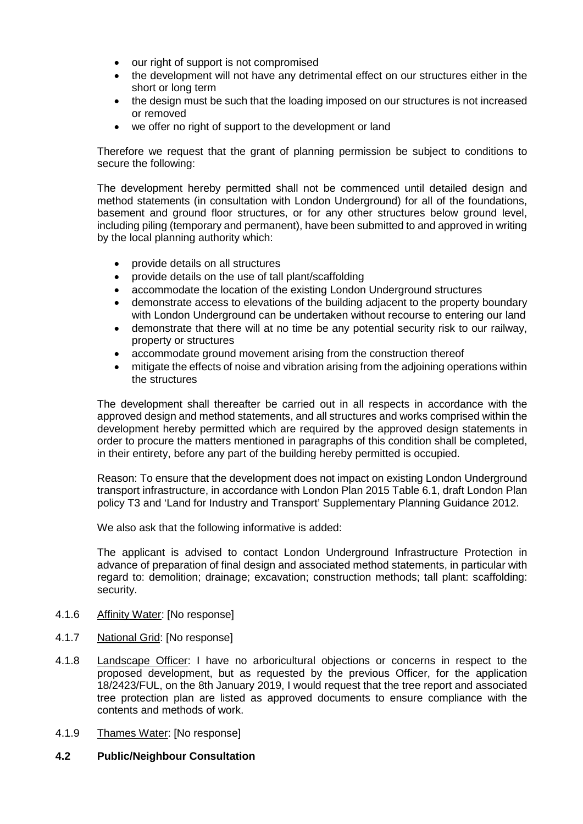- our right of support is not compromised
- the development will not have any detrimental effect on our structures either in the short or long term
- the design must be such that the loading imposed on our structures is not increased or removed
- we offer no right of support to the development or land

Therefore we request that the grant of planning permission be subject to conditions to secure the following:

The development hereby permitted shall not be commenced until detailed design and method statements (in consultation with London Underground) for all of the foundations, basement and ground floor structures, or for any other structures below ground level, including piling (temporary and permanent), have been submitted to and approved in writing by the local planning authority which:

- provide details on all structures
- provide details on the use of tall plant/scaffolding
- accommodate the location of the existing London Underground structures
- demonstrate access to elevations of the building adjacent to the property boundary with London Underground can be undertaken without recourse to entering our land
- demonstrate that there will at no time be any potential security risk to our railway, property or structures
- accommodate ground movement arising from the construction thereof
- mitigate the effects of noise and vibration arising from the adjoining operations within the structures

The development shall thereafter be carried out in all respects in accordance with the approved design and method statements, and all structures and works comprised within the development hereby permitted which are required by the approved design statements in order to procure the matters mentioned in paragraphs of this condition shall be completed, in their entirety, before any part of the building hereby permitted is occupied.

Reason: To ensure that the development does not impact on existing London Underground transport infrastructure, in accordance with London Plan 2015 Table 6.1, draft London Plan policy T3 and 'Land for Industry and Transport' Supplementary Planning Guidance 2012.

We also ask that the following informative is added:

The applicant is advised to contact London Underground Infrastructure Protection in advance of preparation of final design and associated method statements, in particular with regard to: demolition; drainage; excavation; construction methods; tall plant: scaffolding: security.

- 4.1.6 Affinity Water: [No response]
- 4.1.7 National Grid: [No response]
- 4.1.8 Landscape Officer: I have no arboricultural objections or concerns in respect to the proposed development, but as requested by the previous Officer, for the application 18/2423/FUL, on the 8th January 2019, I would request that the tree report and associated tree protection plan are listed as approved documents to ensure compliance with the contents and methods of work.
- 4.1.9 Thames Water: [No response]

# **4.2 Public/Neighbour Consultation**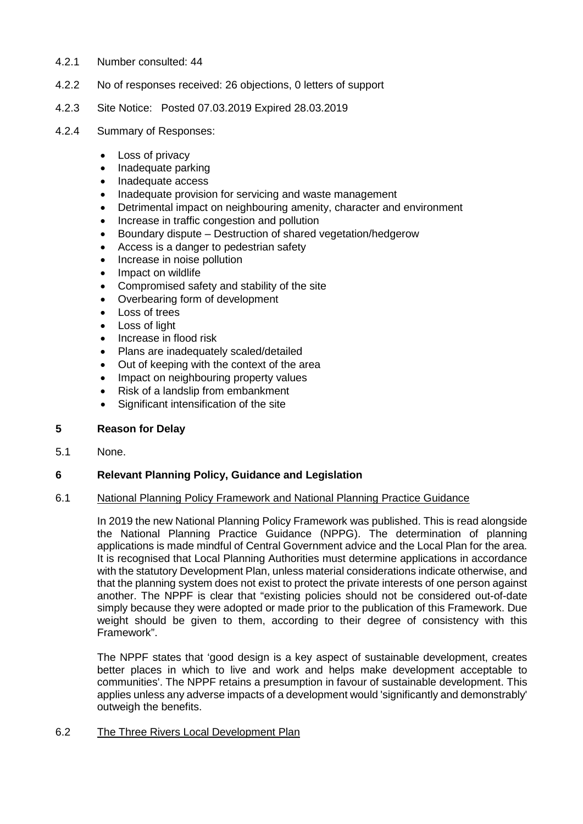- 4.2.1 Number consulted: 44
- 4.2.2 No of responses received: 26 objections, 0 letters of support
- 4.2.3 Site Notice: Posted 07.03.2019 Expired 28.03.2019

## 4.2.4 Summary of Responses:

- Loss of privacy
- Inadequate parking
- Inadequate access
- Inadequate provision for servicing and waste management
- Detrimental impact on neighbouring amenity, character and environment
- Increase in traffic congestion and pollution
- Boundary dispute Destruction of shared vegetation/hedgerow
- Access is a danger to pedestrian safety
- Increase in noise pollution
- Impact on wildlife
- Compromised safety and stability of the site
- Overbearing form of development
- Loss of trees
- Loss of light
- Increase in flood risk
- Plans are inadequately scaled/detailed
- Out of keeping with the context of the area
- Impact on neighbouring property values
- Risk of a landslip from embankment
- Significant intensification of the site

# **5 Reason for Delay**

5.1 None.

# **6 Relevant Planning Policy, Guidance and Legislation**

## 6.1 National Planning Policy Framework and National Planning Practice Guidance

In 2019 the new National Planning Policy Framework was published. This is read alongside the National Planning Practice Guidance (NPPG). The determination of planning applications is made mindful of Central Government advice and the Local Plan for the area. It is recognised that Local Planning Authorities must determine applications in accordance with the statutory Development Plan, unless material considerations indicate otherwise, and that the planning system does not exist to protect the private interests of one person against another. The NPPF is clear that "existing policies should not be considered out-of-date simply because they were adopted or made prior to the publication of this Framework. Due weight should be given to them, according to their degree of consistency with this Framework".

The NPPF states that 'good design is a key aspect of sustainable development, creates better places in which to live and work and helps make development acceptable to communities'. The NPPF retains a presumption in favour of sustainable development. This applies unless any adverse impacts of a development would 'significantly and demonstrably' outweigh the benefits.

### 6.2 The Three Rivers Local Development Plan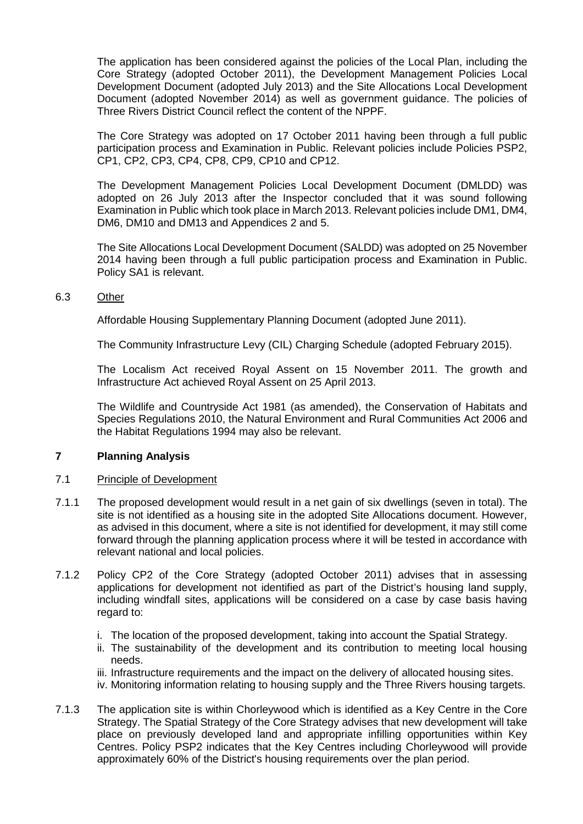The application has been considered against the policies of the Local Plan, including the Core Strategy (adopted October 2011), the Development Management Policies Local Development Document (adopted July 2013) and the Site Allocations Local Development Document (adopted November 2014) as well as government guidance. The policies of Three Rivers District Council reflect the content of the NPPF.

The Core Strategy was adopted on 17 October 2011 having been through a full public participation process and Examination in Public. Relevant policies include Policies PSP2, CP1, CP2, CP3, CP4, CP8, CP9, CP10 and CP12.

The Development Management Policies Local Development Document (DMLDD) was adopted on 26 July 2013 after the Inspector concluded that it was sound following Examination in Public which took place in March 2013. Relevant policies include DM1, DM4, DM6, DM10 and DM13 and Appendices 2 and 5.

The Site Allocations Local Development Document (SALDD) was adopted on 25 November 2014 having been through a full public participation process and Examination in Public. Policy SA1 is relevant.

## 6.3 Other

Affordable Housing Supplementary Planning Document (adopted June 2011).

The Community Infrastructure Levy (CIL) Charging Schedule (adopted February 2015).

The Localism Act received Royal Assent on 15 November 2011. The growth and Infrastructure Act achieved Royal Assent on 25 April 2013.

The Wildlife and Countryside Act 1981 (as amended), the Conservation of Habitats and Species Regulations 2010, the Natural Environment and Rural Communities Act 2006 and the Habitat Regulations 1994 may also be relevant.

# **7 Planning Analysis**

### 7.1 Principle of Development

- 7.1.1 The proposed development would result in a net gain of six dwellings (seven in total). The site is not identified as a housing site in the adopted Site Allocations document. However, as advised in this document, where a site is not identified for development, it may still come forward through the planning application process where it will be tested in accordance with relevant national and local policies.
- 7.1.2 Policy CP2 of the Core Strategy (adopted October 2011) advises that in assessing applications for development not identified as part of the District's housing land supply, including windfall sites, applications will be considered on a case by case basis having regard to:
	- i. The location of the proposed development, taking into account the Spatial Strategy.
	- ii. The sustainability of the development and its contribution to meeting local housing needs.
	- iii. Infrastructure requirements and the impact on the delivery of allocated housing sites.
	- iv. Monitoring information relating to housing supply and the Three Rivers housing targets.
- 7.1.3 The application site is within Chorleywood which is identified as a Key Centre in the Core Strategy. The Spatial Strategy of the Core Strategy advises that new development will take place on previously developed land and appropriate infilling opportunities within Key Centres. Policy PSP2 indicates that the Key Centres including Chorleywood will provide approximately 60% of the District's housing requirements over the plan period.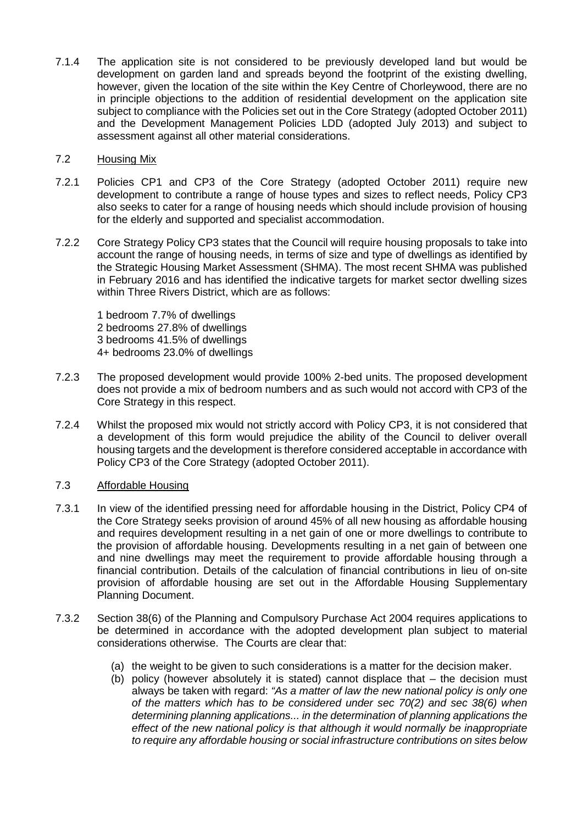7.1.4 The application site is not considered to be previously developed land but would be development on garden land and spreads beyond the footprint of the existing dwelling, however, given the location of the site within the Key Centre of Chorleywood, there are no in principle objections to the addition of residential development on the application site subject to compliance with the Policies set out in the Core Strategy (adopted October 2011) and the Development Management Policies LDD (adopted July 2013) and subject to assessment against all other material considerations.

# 7.2 Housing Mix

- 7.2.1 Policies CP1 and CP3 of the Core Strategy (adopted October 2011) require new development to contribute a range of house types and sizes to reflect needs, Policy CP3 also seeks to cater for a range of housing needs which should include provision of housing for the elderly and supported and specialist accommodation.
- 7.2.2 Core Strategy Policy CP3 states that the Council will require housing proposals to take into account the range of housing needs, in terms of size and type of dwellings as identified by the Strategic Housing Market Assessment (SHMA). The most recent SHMA was published in February 2016 and has identified the indicative targets for market sector dwelling sizes within Three Rivers District, which are as follows:

1 bedroom 7.7% of dwellings 2 bedrooms 27.8% of dwellings 3 bedrooms 41.5% of dwellings 4+ bedrooms 23.0% of dwellings

- 7.2.3 The proposed development would provide 100% 2-bed units. The proposed development does not provide a mix of bedroom numbers and as such would not accord with CP3 of the Core Strategy in this respect.
- 7.2.4 Whilst the proposed mix would not strictly accord with Policy CP3, it is not considered that a development of this form would prejudice the ability of the Council to deliver overall housing targets and the development is therefore considered acceptable in accordance with Policy CP3 of the Core Strategy (adopted October 2011).

# 7.3 Affordable Housing

- 7.3.1 In view of the identified pressing need for affordable housing in the District, Policy CP4 of the Core Strategy seeks provision of around 45% of all new housing as affordable housing and requires development resulting in a net gain of one or more dwellings to contribute to the provision of affordable housing. Developments resulting in a net gain of between one and nine dwellings may meet the requirement to provide affordable housing through a financial contribution. Details of the calculation of financial contributions in lieu of on-site provision of affordable housing are set out in the Affordable Housing Supplementary Planning Document.
- 7.3.2 Section 38(6) of the Planning and Compulsory Purchase Act 2004 requires applications to be determined in accordance with the adopted development plan subject to material considerations otherwise. The Courts are clear that:
	- (a) the weight to be given to such considerations is a matter for the decision maker.
	- (b) policy (however absolutely it is stated) cannot displace that the decision must always be taken with regard: *"As a matter of law the new national policy is only one of the matters which has to be considered under sec 70(2) and sec 38(6) when determining planning applications... in the determination of planning applications the effect of the new national policy is that although it would normally be inappropriate to require any affordable housing or social infrastructure contributions on sites below*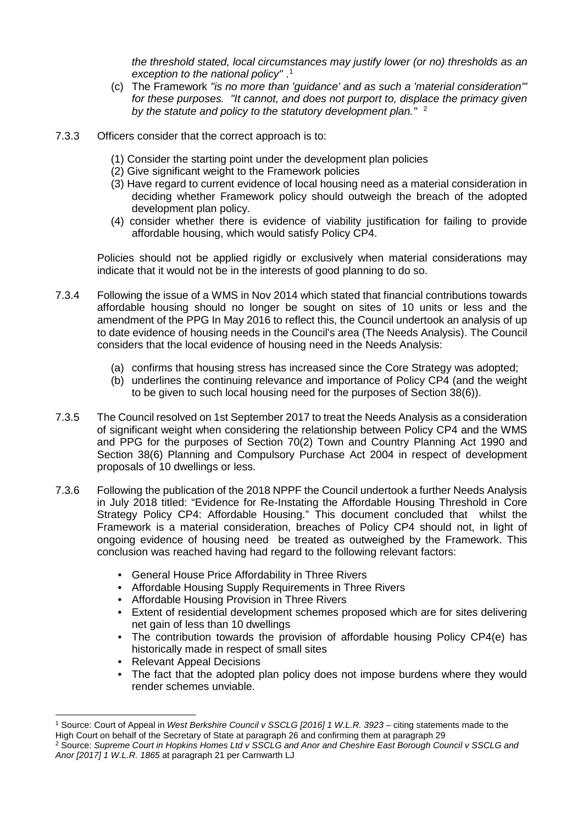*the threshold stated, local circumstances may justify lower (or no) thresholds as an exception to the national policy"* . [1](#page-10-0)

- (c) The Framework *"is no more than 'guidance' and as such a 'material consideration'" for these purposes. "It cannot, and does not purport to, displace the primacy given by the statute and policy to the statutory development plan."* [2](#page-10-1)
- 7.3.3 Officers consider that the correct approach is to:
	- (1) Consider the starting point under the development plan policies
	- (2) Give significant weight to the Framework policies
	- (3) Have regard to current evidence of local housing need as a material consideration in deciding whether Framework policy should outweigh the breach of the adopted development plan policy.
	- (4) consider whether there is evidence of viability justification for failing to provide affordable housing, which would satisfy Policy CP4.

Policies should not be applied rigidly or exclusively when material considerations may indicate that it would not be in the interests of good planning to do so.

- 7.3.4 Following the issue of a WMS in Nov 2014 which stated that financial contributions towards affordable housing should no longer be sought on sites of 10 units or less and the amendment of the PPG In May 2016 to reflect this, the Council undertook an analysis of up to date evidence of housing needs in the Council's area (The Needs Analysis). The Council considers that the local evidence of housing need in the Needs Analysis:
	- (a) confirms that housing stress has increased since the Core Strategy was adopted;
	- (b) underlines the continuing relevance and importance of Policy CP4 (and the weight to be given to such local housing need for the purposes of Section 38(6)).
- 7.3.5 The Council resolved on 1st September 2017 to treat the Needs Analysis as a consideration of significant weight when considering the relationship between Policy CP4 and the WMS and PPG for the purposes of Section 70(2) Town and Country Planning Act 1990 and Section 38(6) Planning and Compulsory Purchase Act 2004 in respect of development proposals of 10 dwellings or less.
- 7.3.6 Following the publication of the 2018 NPPF the Council undertook a further Needs Analysis in July 2018 titled: "Evidence for Re-Instating the Affordable Housing Threshold in Core Strategy Policy CP4: Affordable Housing." This document concluded that whilst the Framework is a material consideration, breaches of Policy CP4 should not, in light of ongoing evidence of housing need be treated as outweighed by the Framework. This conclusion was reached having had regard to the following relevant factors:
	- General House Price Affordability in Three Rivers
	- Affordable Housing Supply Requirements in Three Rivers
	- Affordable Housing Provision in Three Rivers
	- Extent of residential development schemes proposed which are for sites delivering net gain of less than 10 dwellings
	- The contribution towards the provision of affordable housing Policy CP4(e) has historically made in respect of small sites
	- Relevant Appeal Decisions
	- The fact that the adopted plan policy does not impose burdens where they would render schemes unviable.

<span id="page-10-0"></span><sup>&</sup>lt;sup>1</sup> Source: Court of Appeal in *West Berkshire Council v SSCLG [2016] 1 W.L.R. 3923 –* citing statements made to the<br>High Court on behalf of the Secretary of State at paragraph 26 and confirming them at paragraph 29

<span id="page-10-1"></span><sup>&</sup>lt;sup>2</sup> Source: Supreme Court in Hopkins Homes Ltd v SSCLG and Anor and Cheshire East Borough Council v SSCLG and *Anor [2017] 1 W.L.R. 1865* at paragraph 21 per Carnwarth LJ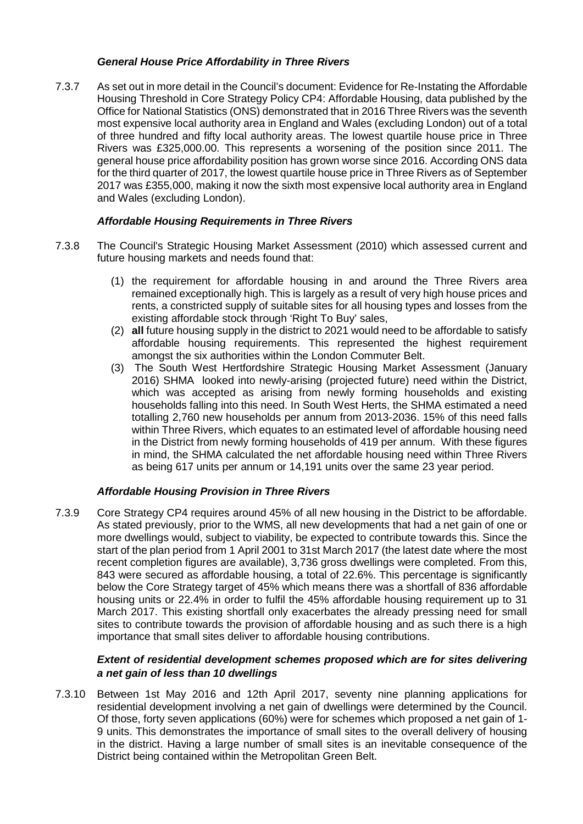# *General House Price Affordability in Three Rivers*

7.3.7 As set out in more detail in the Council's document: Evidence for Re-Instating the Affordable Housing Threshold in Core Strategy Policy CP4: Affordable Housing, data published by the Office for National Statistics (ONS) demonstrated that in 2016 Three Rivers was the seventh most expensive local authority area in England and Wales (excluding London) out of a total of three hundred and fifty local authority areas. The lowest quartile house price in Three Rivers was £325,000.00. This represents a worsening of the position since 2011. The general house price affordability position has grown worse since 2016. According ONS data for the third quarter of 2017, the lowest quartile house price in Three Rivers as of September 2017 was £355,000, making it now the sixth most expensive local authority area in England and Wales (excluding London).

# *Affordable Housing Requirements in Three Rivers*

- 7.3.8 The Council's Strategic Housing Market Assessment (2010) which assessed current and future housing markets and needs found that:
	- (1) the requirement for affordable housing in and around the Three Rivers area remained exceptionally high. This is largely as a result of very high house prices and rents, a constricted supply of suitable sites for all housing types and losses from the existing affordable stock through 'Right To Buy' sales,
	- (2) **all** future housing supply in the district to 2021 would need to be affordable to satisfy affordable housing requirements. This represented the highest requirement amongst the six authorities within the London Commuter Belt.
	- (3) The South West Hertfordshire Strategic Housing Market Assessment (January 2016) SHMA looked into newly-arising (projected future) need within the District, which was accepted as arising from newly forming households and existing households falling into this need. In South West Herts, the SHMA estimated a need totalling 2,760 new households per annum from 2013-2036. 15% of this need falls within Three Rivers, which equates to an estimated level of affordable housing need in the District from newly forming households of 419 per annum. With these figures in mind, the SHMA calculated the net affordable housing need within Three Rivers as being 617 units per annum or 14,191 units over the same 23 year period.

# *Affordable Housing Provision in Three Rivers*

7.3.9 Core Strategy CP4 requires around 45% of all new housing in the District to be affordable. As stated previously, prior to the WMS, all new developments that had a net gain of one or more dwellings would, subject to viability, be expected to contribute towards this. Since the start of the plan period from 1 April 2001 to 31st March 2017 (the latest date where the most recent completion figures are available), 3,736 gross dwellings were completed. From this, 843 were secured as affordable housing, a total of 22.6%. This percentage is significantly below the Core Strategy target of 45% which means there was a shortfall of 836 affordable housing units or 22.4% in order to fulfil the 45% affordable housing requirement up to 31 March 2017. This existing shortfall only exacerbates the already pressing need for small sites to contribute towards the provision of affordable housing and as such there is a high importance that small sites deliver to affordable housing contributions.

# *Extent of residential development schemes proposed which are for sites delivering a net gain of less than 10 dwellings*

7.3.10 Between 1st May 2016 and 12th April 2017, seventy nine planning applications for residential development involving a net gain of dwellings were determined by the Council. Of those, forty seven applications (60%) were for schemes which proposed a net gain of 1- 9 units. This demonstrates the importance of small sites to the overall delivery of housing in the district. Having a large number of small sites is an inevitable consequence of the District being contained within the Metropolitan Green Belt.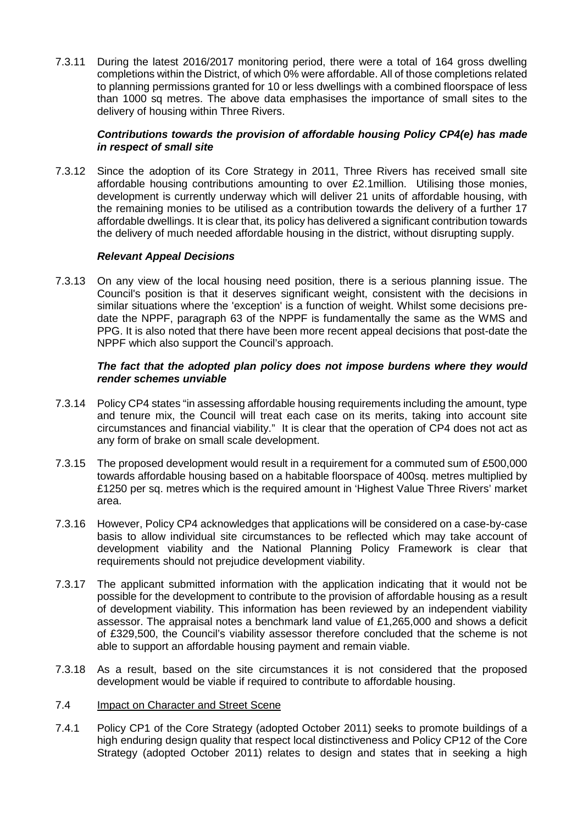7.3.11 During the latest 2016/2017 monitoring period, there were a total of 164 gross dwelling completions within the District, of which 0% were affordable. All of those completions related to planning permissions granted for 10 or less dwellings with a combined floorspace of less than 1000 sq metres. The above data emphasises the importance of small sites to the delivery of housing within Three Rivers.

## *Contributions towards the provision of affordable housing Policy CP4(e) has made in respect of small site*

7.3.12 Since the adoption of its Core Strategy in 2011, Three Rivers has received small site affordable housing contributions amounting to over £2.1million. Utilising those monies, development is currently underway which will deliver 21 units of affordable housing, with the remaining monies to be utilised as a contribution towards the delivery of a further 17 affordable dwellings. It is clear that, its policy has delivered a significant contribution towards the delivery of much needed affordable housing in the district, without disrupting supply.

# *Relevant Appeal Decisions*

7.3.13 On any view of the local housing need position, there is a serious planning issue. The Council's position is that it deserves significant weight, consistent with the decisions in similar situations where the 'exception' is a function of weight. Whilst some decisions predate the NPPF, paragraph 63 of the NPPF is fundamentally the same as the WMS and PPG. It is also noted that there have been more recent appeal decisions that post-date the NPPF which also support the Council's approach.

## *The fact that the adopted plan policy does not impose burdens where they would render schemes unviable*

- 7.3.14 Policy CP4 states "in assessing affordable housing requirements including the amount, type and tenure mix, the Council will treat each case on its merits, taking into account site circumstances and financial viability." It is clear that the operation of CP4 does not act as any form of brake on small scale development.
- 7.3.15 The proposed development would result in a requirement for a commuted sum of £500,000 towards affordable housing based on a habitable floorspace of 400sq. metres multiplied by £1250 per sq. metres which is the required amount in 'Highest Value Three Rivers' market area.
- 7.3.16 However, Policy CP4 acknowledges that applications will be considered on a case-by-case basis to allow individual site circumstances to be reflected which may take account of development viability and the National Planning Policy Framework is clear that requirements should not prejudice development viability.
- 7.3.17 The applicant submitted information with the application indicating that it would not be possible for the development to contribute to the provision of affordable housing as a result of development viability. This information has been reviewed by an independent viability assessor. The appraisal notes a benchmark land value of £1,265,000 and shows a deficit of £329,500, the Council's viability assessor therefore concluded that the scheme is not able to support an affordable housing payment and remain viable.
- 7.3.18 As a result, based on the site circumstances it is not considered that the proposed development would be viable if required to contribute to affordable housing.
- 7.4 Impact on Character and Street Scene
- 7.4.1 Policy CP1 of the Core Strategy (adopted October 2011) seeks to promote buildings of a high enduring design quality that respect local distinctiveness and Policy CP12 of the Core Strategy (adopted October 2011) relates to design and states that in seeking a high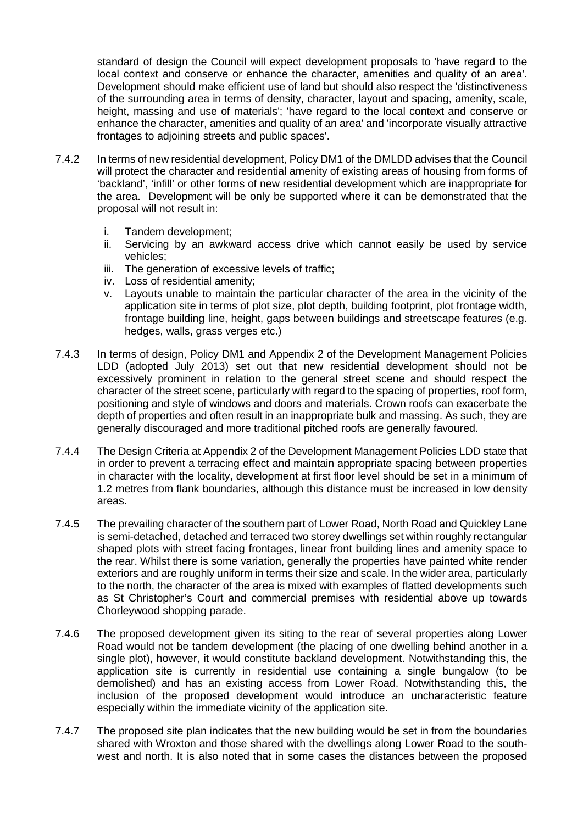standard of design the Council will expect development proposals to 'have regard to the local context and conserve or enhance the character, amenities and quality of an area'. Development should make efficient use of land but should also respect the 'distinctiveness of the surrounding area in terms of density, character, layout and spacing, amenity, scale, height, massing and use of materials'; 'have regard to the local context and conserve or enhance the character, amenities and quality of an area' and 'incorporate visually attractive frontages to adjoining streets and public spaces'.

- 7.4.2 In terms of new residential development, Policy DM1 of the DMLDD advises that the Council will protect the character and residential amenity of existing areas of housing from forms of 'backland', 'infill' or other forms of new residential development which are inappropriate for the area. Development will be only be supported where it can be demonstrated that the proposal will not result in:
	- i. Tandem development;
	- ii. Servicing by an awkward access drive which cannot easily be used by service vehicles;
	- iii. The generation of excessive levels of traffic;
	- iv. Loss of residential amenity;
	- v. Layouts unable to maintain the particular character of the area in the vicinity of the application site in terms of plot size, plot depth, building footprint, plot frontage width, frontage building line, height, gaps between buildings and streetscape features (e.g. hedges, walls, grass verges etc.)
- 7.4.3 In terms of design, Policy DM1 and Appendix 2 of the Development Management Policies LDD (adopted July 2013) set out that new residential development should not be excessively prominent in relation to the general street scene and should respect the character of the street scene, particularly with regard to the spacing of properties, roof form, positioning and style of windows and doors and materials. Crown roofs can exacerbate the depth of properties and often result in an inappropriate bulk and massing. As such, they are generally discouraged and more traditional pitched roofs are generally favoured.
- 7.4.4 The Design Criteria at Appendix 2 of the Development Management Policies LDD state that in order to prevent a terracing effect and maintain appropriate spacing between properties in character with the locality, development at first floor level should be set in a minimum of 1.2 metres from flank boundaries, although this distance must be increased in low density areas.
- 7.4.5 The prevailing character of the southern part of Lower Road, North Road and Quickley Lane is semi-detached, detached and terraced two storey dwellings set within roughly rectangular shaped plots with street facing frontages, linear front building lines and amenity space to the rear. Whilst there is some variation, generally the properties have painted white render exteriors and are roughly uniform in terms their size and scale. In the wider area, particularly to the north, the character of the area is mixed with examples of flatted developments such as St Christopher's Court and commercial premises with residential above up towards Chorleywood shopping parade.
- 7.4.6 The proposed development given its siting to the rear of several properties along Lower Road would not be tandem development (the placing of one dwelling behind another in a single plot), however, it would constitute backland development. Notwithstanding this, the application site is currently in residential use containing a single bungalow (to be demolished) and has an existing access from Lower Road. Notwithstanding this, the inclusion of the proposed development would introduce an uncharacteristic feature especially within the immediate vicinity of the application site.
- 7.4.7 The proposed site plan indicates that the new building would be set in from the boundaries shared with Wroxton and those shared with the dwellings along Lower Road to the southwest and north. It is also noted that in some cases the distances between the proposed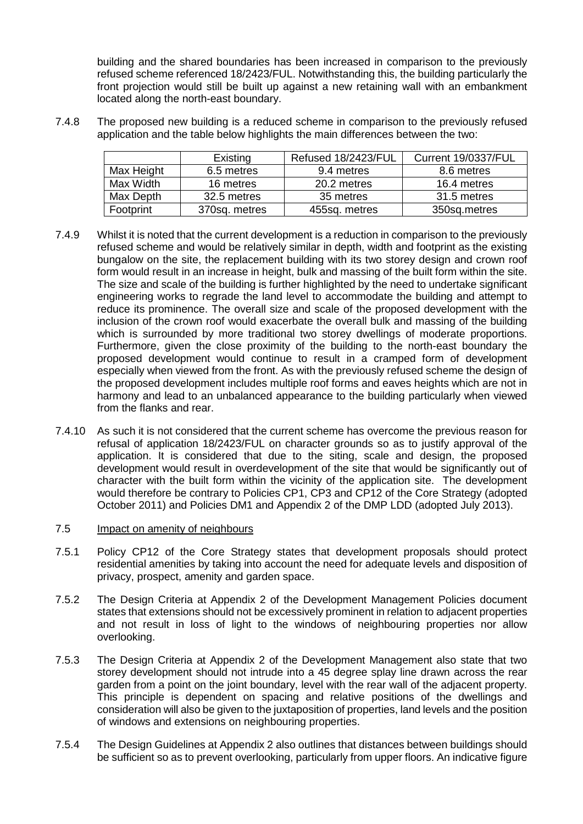building and the shared boundaries has been increased in comparison to the previously refused scheme referenced 18/2423/FUL. Notwithstanding this, the building particularly the front projection would still be built up against a new retaining wall with an embankment located along the north-east boundary.

7.4.8 The proposed new building is a reduced scheme in comparison to the previously refused application and the table below highlights the main differences between the two:

|            | Existing      | Refused 18/2423/FUL | <b>Current 19/0337/FUL</b> |
|------------|---------------|---------------------|----------------------------|
| Max Height | 6.5 metres    | 9.4 metres          | 8.6 metres                 |
| Max Width  | 16 metres     | 20.2 metres         | 16.4 metres                |
| Max Depth  | 32.5 metres   | 35 metres           | 31.5 metres                |
| Footprint  | 370sq. metres | 455sq. metres       | 350sq.metres               |

- 7.4.9 Whilst it is noted that the current development is a reduction in comparison to the previously refused scheme and would be relatively similar in depth, width and footprint as the existing bungalow on the site, the replacement building with its two storey design and crown roof form would result in an increase in height, bulk and massing of the built form within the site. The size and scale of the building is further highlighted by the need to undertake significant engineering works to regrade the land level to accommodate the building and attempt to reduce its prominence. The overall size and scale of the proposed development with the inclusion of the crown roof would exacerbate the overall bulk and massing of the building which is surrounded by more traditional two storey dwellings of moderate proportions. Furthermore, given the close proximity of the building to the north-east boundary the proposed development would continue to result in a cramped form of development especially when viewed from the front. As with the previously refused scheme the design of the proposed development includes multiple roof forms and eaves heights which are not in harmony and lead to an unbalanced appearance to the building particularly when viewed from the flanks and rear.
- 7.4.10 As such it is not considered that the current scheme has overcome the previous reason for refusal of application 18/2423/FUL on character grounds so as to justify approval of the application. It is considered that due to the siting, scale and design, the proposed development would result in overdevelopment of the site that would be significantly out of character with the built form within the vicinity of the application site. The development would therefore be contrary to Policies CP1, CP3 and CP12 of the Core Strategy (adopted October 2011) and Policies DM1 and Appendix 2 of the DMP LDD (adopted July 2013).
- 7.5 Impact on amenity of neighbours
- 7.5.1 Policy CP12 of the Core Strategy states that development proposals should protect residential amenities by taking into account the need for adequate levels and disposition of privacy, prospect, amenity and garden space.
- 7.5.2 The Design Criteria at Appendix 2 of the Development Management Policies document states that extensions should not be excessively prominent in relation to adjacent properties and not result in loss of light to the windows of neighbouring properties nor allow overlooking.
- 7.5.3 The Design Criteria at Appendix 2 of the Development Management also state that two storey development should not intrude into a 45 degree splay line drawn across the rear garden from a point on the joint boundary, level with the rear wall of the adjacent property. This principle is dependent on spacing and relative positions of the dwellings and consideration will also be given to the juxtaposition of properties, land levels and the position of windows and extensions on neighbouring properties.
- 7.5.4 The Design Guidelines at Appendix 2 also outlines that distances between buildings should be sufficient so as to prevent overlooking, particularly from upper floors. An indicative figure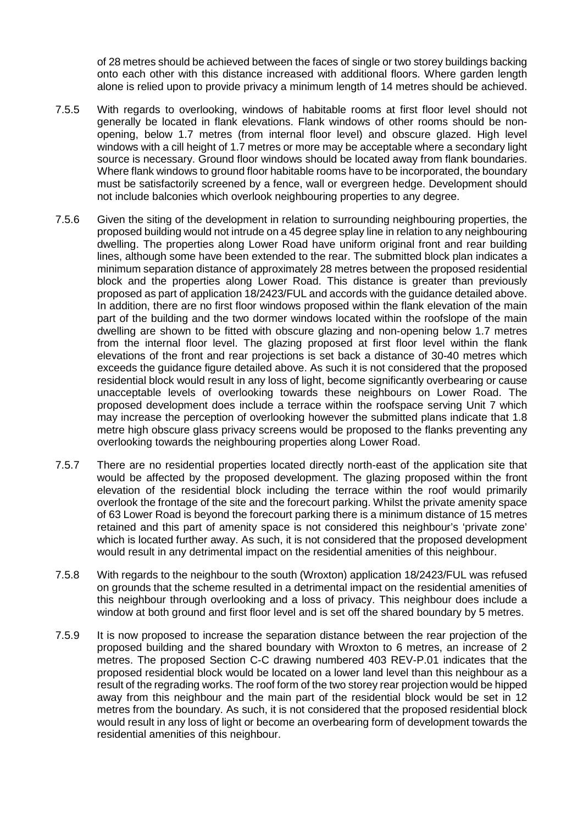of 28 metres should be achieved between the faces of single or two storey buildings backing onto each other with this distance increased with additional floors. Where garden length alone is relied upon to provide privacy a minimum length of 14 metres should be achieved.

- 7.5.5 With regards to overlooking, windows of habitable rooms at first floor level should not generally be located in flank elevations. Flank windows of other rooms should be nonopening, below 1.7 metres (from internal floor level) and obscure glazed. High level windows with a cill height of 1.7 metres or more may be acceptable where a secondary light source is necessary. Ground floor windows should be located away from flank boundaries. Where flank windows to ground floor habitable rooms have to be incorporated, the boundary must be satisfactorily screened by a fence, wall or evergreen hedge. Development should not include balconies which overlook neighbouring properties to any degree.
- 7.5.6 Given the siting of the development in relation to surrounding neighbouring properties, the proposed building would not intrude on a 45 degree splay line in relation to any neighbouring dwelling. The properties along Lower Road have uniform original front and rear building lines, although some have been extended to the rear. The submitted block plan indicates a minimum separation distance of approximately 28 metres between the proposed residential block and the properties along Lower Road. This distance is greater than previously proposed as part of application 18/2423/FUL and accords with the guidance detailed above. In addition, there are no first floor windows proposed within the flank elevation of the main part of the building and the two dormer windows located within the roofslope of the main dwelling are shown to be fitted with obscure glazing and non-opening below 1.7 metres from the internal floor level. The glazing proposed at first floor level within the flank elevations of the front and rear projections is set back a distance of 30-40 metres which exceeds the guidance figure detailed above. As such it is not considered that the proposed residential block would result in any loss of light, become significantly overbearing or cause unacceptable levels of overlooking towards these neighbours on Lower Road. The proposed development does include a terrace within the roofspace serving Unit 7 which may increase the perception of overlooking however the submitted plans indicate that 1.8 metre high obscure glass privacy screens would be proposed to the flanks preventing any overlooking towards the neighbouring properties along Lower Road.
- 7.5.7 There are no residential properties located directly north-east of the application site that would be affected by the proposed development. The glazing proposed within the front elevation of the residential block including the terrace within the roof would primarily overlook the frontage of the site and the forecourt parking. Whilst the private amenity space of 63 Lower Road is beyond the forecourt parking there is a minimum distance of 15 metres retained and this part of amenity space is not considered this neighbour's 'private zone' which is located further away. As such, it is not considered that the proposed development would result in any detrimental impact on the residential amenities of this neighbour.
- 7.5.8 With regards to the neighbour to the south (Wroxton) application 18/2423/FUL was refused on grounds that the scheme resulted in a detrimental impact on the residential amenities of this neighbour through overlooking and a loss of privacy. This neighbour does include a window at both ground and first floor level and is set off the shared boundary by 5 metres.
- 7.5.9 It is now proposed to increase the separation distance between the rear projection of the proposed building and the shared boundary with Wroxton to 6 metres, an increase of 2 metres. The proposed Section C-C drawing numbered 403 REV-P.01 indicates that the proposed residential block would be located on a lower land level than this neighbour as a result of the regrading works. The roof form of the two storey rear projection would be hipped away from this neighbour and the main part of the residential block would be set in 12 metres from the boundary. As such, it is not considered that the proposed residential block would result in any loss of light or become an overbearing form of development towards the residential amenities of this neighbour.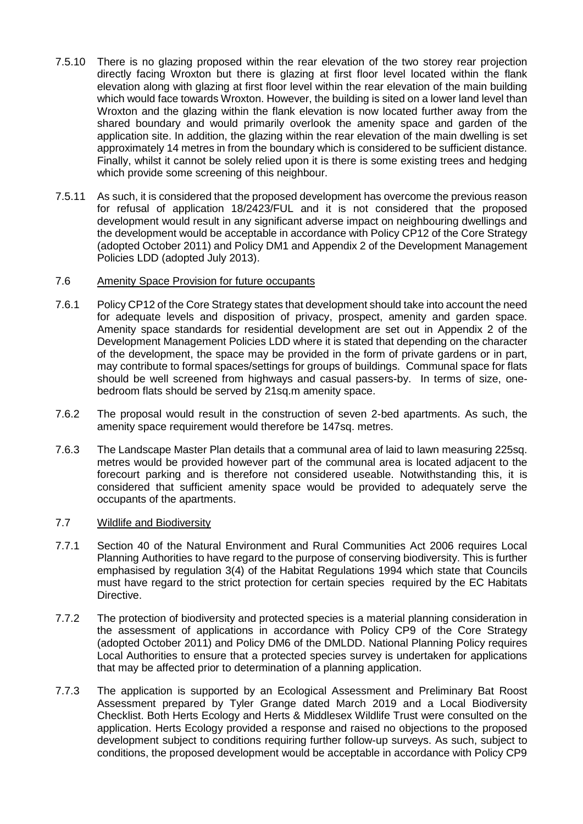- 7.5.10 There is no glazing proposed within the rear elevation of the two storey rear projection directly facing Wroxton but there is glazing at first floor level located within the flank elevation along with glazing at first floor level within the rear elevation of the main building which would face towards Wroxton. However, the building is sited on a lower land level than Wroxton and the glazing within the flank elevation is now located further away from the shared boundary and would primarily overlook the amenity space and garden of the application site. In addition, the glazing within the rear elevation of the main dwelling is set approximately 14 metres in from the boundary which is considered to be sufficient distance. Finally, whilst it cannot be solely relied upon it is there is some existing trees and hedging which provide some screening of this neighbour.
- 7.5.11 As such, it is considered that the proposed development has overcome the previous reason for refusal of application 18/2423/FUL and it is not considered that the proposed development would result in any significant adverse impact on neighbouring dwellings and the development would be acceptable in accordance with Policy CP12 of the Core Strategy (adopted October 2011) and Policy DM1 and Appendix 2 of the Development Management Policies LDD (adopted July 2013).

## 7.6 Amenity Space Provision for future occupants

- 7.6.1 Policy CP12 of the Core Strategy states that development should take into account the need for adequate levels and disposition of privacy, prospect, amenity and garden space. Amenity space standards for residential development are set out in Appendix 2 of the Development Management Policies LDD where it is stated that depending on the character of the development, the space may be provided in the form of private gardens or in part, may contribute to formal spaces/settings for groups of buildings. Communal space for flats should be well screened from highways and casual passers-by. In terms of size, onebedroom flats should be served by 21sq.m amenity space.
- 7.6.2 The proposal would result in the construction of seven 2-bed apartments. As such, the amenity space requirement would therefore be 147sq. metres.
- 7.6.3 The Landscape Master Plan details that a communal area of laid to lawn measuring 225sq. metres would be provided however part of the communal area is located adjacent to the forecourt parking and is therefore not considered useable. Notwithstanding this, it is considered that sufficient amenity space would be provided to adequately serve the occupants of the apartments.

### 7.7 Wildlife and Biodiversity

- 7.7.1 Section 40 of the Natural Environment and Rural Communities Act 2006 requires Local Planning Authorities to have regard to the purpose of conserving biodiversity. This is further emphasised by regulation 3(4) of the Habitat Regulations 1994 which state that Councils must have regard to the strict protection for certain species required by the EC Habitats Directive.
- 7.7.2 The protection of biodiversity and protected species is a material planning consideration in the assessment of applications in accordance with Policy CP9 of the Core Strategy (adopted October 2011) and Policy DM6 of the DMLDD. National Planning Policy requires Local Authorities to ensure that a protected species survey is undertaken for applications that may be affected prior to determination of a planning application.
- 7.7.3 The application is supported by an Ecological Assessment and Preliminary Bat Roost Assessment prepared by Tyler Grange dated March 2019 and a Local Biodiversity Checklist. Both Herts Ecology and Herts & Middlesex Wildlife Trust were consulted on the application. Herts Ecology provided a response and raised no objections to the proposed development subject to conditions requiring further follow-up surveys. As such, subject to conditions, the proposed development would be acceptable in accordance with Policy CP9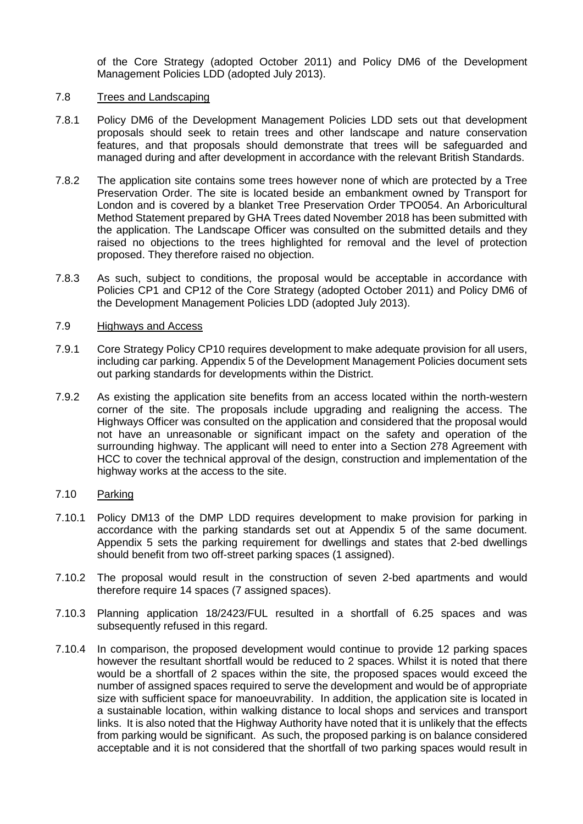of the Core Strategy (adopted October 2011) and Policy DM6 of the Development Management Policies LDD (adopted July 2013).

### 7.8 Trees and Landscaping

- 7.8.1 Policy DM6 of the Development Management Policies LDD sets out that development proposals should seek to retain trees and other landscape and nature conservation features, and that proposals should demonstrate that trees will be safeguarded and managed during and after development in accordance with the relevant British Standards.
- 7.8.2 The application site contains some trees however none of which are protected by a Tree Preservation Order. The site is located beside an embankment owned by Transport for London and is covered by a blanket Tree Preservation Order TPO054. An Arboricultural Method Statement prepared by GHA Trees dated November 2018 has been submitted with the application. The Landscape Officer was consulted on the submitted details and they raised no objections to the trees highlighted for removal and the level of protection proposed. They therefore raised no objection.
- 7.8.3 As such, subject to conditions, the proposal would be acceptable in accordance with Policies CP1 and CP12 of the Core Strategy (adopted October 2011) and Policy DM6 of the Development Management Policies LDD (adopted July 2013).

## 7.9 Highways and Access

- 7.9.1 Core Strategy Policy CP10 requires development to make adequate provision for all users, including car parking. Appendix 5 of the Development Management Policies document sets out parking standards for developments within the District.
- 7.9.2 As existing the application site benefits from an access located within the north-western corner of the site. The proposals include upgrading and realigning the access. The Highways Officer was consulted on the application and considered that the proposal would not have an unreasonable or significant impact on the safety and operation of the surrounding highway. The applicant will need to enter into a Section 278 Agreement with HCC to cover the technical approval of the design, construction and implementation of the highway works at the access to the site.

# 7.10 Parking

- 7.10.1 Policy DM13 of the DMP LDD requires development to make provision for parking in accordance with the parking standards set out at Appendix 5 of the same document. Appendix 5 sets the parking requirement for dwellings and states that 2-bed dwellings should benefit from two off-street parking spaces (1 assigned).
- 7.10.2 The proposal would result in the construction of seven 2-bed apartments and would therefore require 14 spaces (7 assigned spaces).
- 7.10.3 Planning application 18/2423/FUL resulted in a shortfall of 6.25 spaces and was subsequently refused in this regard.
- 7.10.4 In comparison, the proposed development would continue to provide 12 parking spaces however the resultant shortfall would be reduced to 2 spaces. Whilst it is noted that there would be a shortfall of 2 spaces within the site, the proposed spaces would exceed the number of assigned spaces required to serve the development and would be of appropriate size with sufficient space for manoeuvrability. In addition, the application site is located in a sustainable location, within walking distance to local shops and services and transport links. It is also noted that the Highway Authority have noted that it is unlikely that the effects from parking would be significant. As such, the proposed parking is on balance considered acceptable and it is not considered that the shortfall of two parking spaces would result in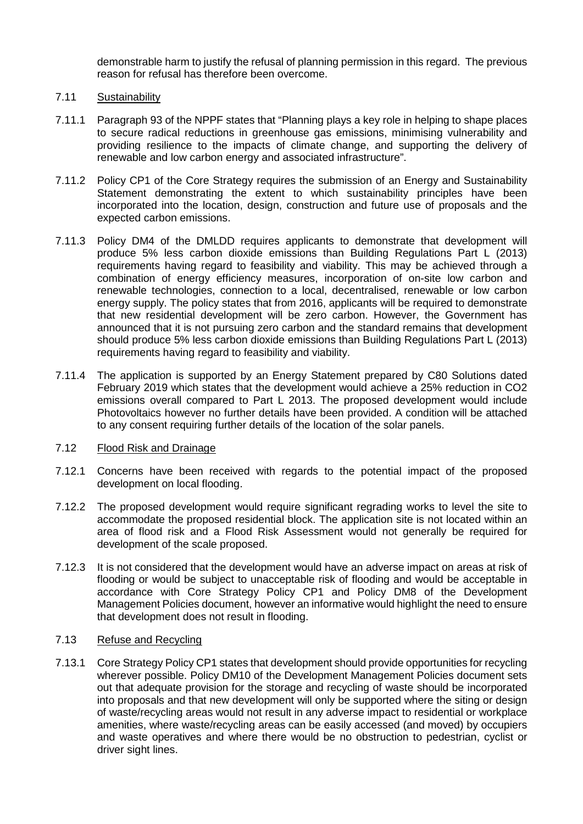demonstrable harm to justify the refusal of planning permission in this regard. The previous reason for refusal has therefore been overcome.

## 7.11 Sustainability

- 7.11.1 Paragraph 93 of the NPPF states that "Planning plays a key role in helping to shape places to secure radical reductions in greenhouse gas emissions, minimising vulnerability and providing resilience to the impacts of climate change, and supporting the delivery of renewable and low carbon energy and associated infrastructure".
- 7.11.2 Policy CP1 of the Core Strategy requires the submission of an Energy and Sustainability Statement demonstrating the extent to which sustainability principles have been incorporated into the location, design, construction and future use of proposals and the expected carbon emissions.
- 7.11.3 Policy DM4 of the DMLDD requires applicants to demonstrate that development will produce 5% less carbon dioxide emissions than Building Regulations Part L (2013) requirements having regard to feasibility and viability. This may be achieved through a combination of energy efficiency measures, incorporation of on-site low carbon and renewable technologies, connection to a local, decentralised, renewable or low carbon energy supply. The policy states that from 2016, applicants will be required to demonstrate that new residential development will be zero carbon. However, the Government has announced that it is not pursuing zero carbon and the standard remains that development should produce 5% less carbon dioxide emissions than Building Regulations Part L (2013) requirements having regard to feasibility and viability.
- 7.11.4 The application is supported by an Energy Statement prepared by C80 Solutions dated February 2019 which states that the development would achieve a 25% reduction in CO2 emissions overall compared to Part L 2013. The proposed development would include Photovoltaics however no further details have been provided. A condition will be attached to any consent requiring further details of the location of the solar panels.

### 7.12 Flood Risk and Drainage

- 7.12.1 Concerns have been received with regards to the potential impact of the proposed development on local flooding.
- 7.12.2 The proposed development would require significant regrading works to level the site to accommodate the proposed residential block. The application site is not located within an area of flood risk and a Flood Risk Assessment would not generally be required for development of the scale proposed.
- 7.12.3 It is not considered that the development would have an adverse impact on areas at risk of flooding or would be subject to unacceptable risk of flooding and would be acceptable in accordance with Core Strategy Policy CP1 and Policy DM8 of the Development Management Policies document, however an informative would highlight the need to ensure that development does not result in flooding.

# 7.13 Refuse and Recycling

7.13.1 Core Strategy Policy CP1 states that development should provide opportunities for recycling wherever possible. Policy DM10 of the Development Management Policies document sets out that adequate provision for the storage and recycling of waste should be incorporated into proposals and that new development will only be supported where the siting or design of waste/recycling areas would not result in any adverse impact to residential or workplace amenities, where waste/recycling areas can be easily accessed (and moved) by occupiers and waste operatives and where there would be no obstruction to pedestrian, cyclist or driver sight lines.